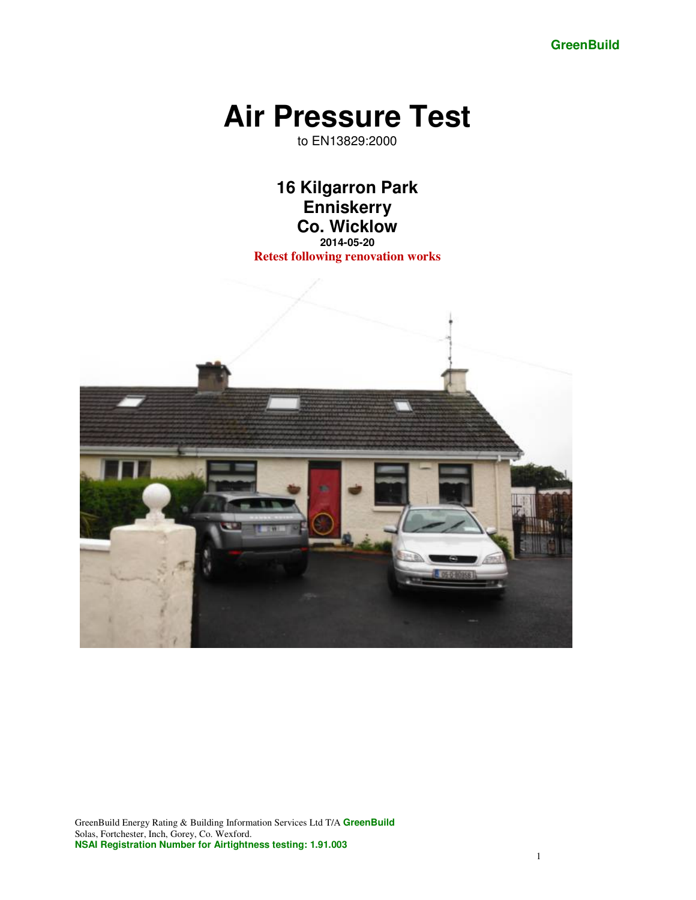**GreenBuild** 

# **Air Pressure Test**

to EN13829:2000

**16 Kilgarron Park Enniskerry Co. Wicklow 2014-05-20** 

**Retest following renovation works** 

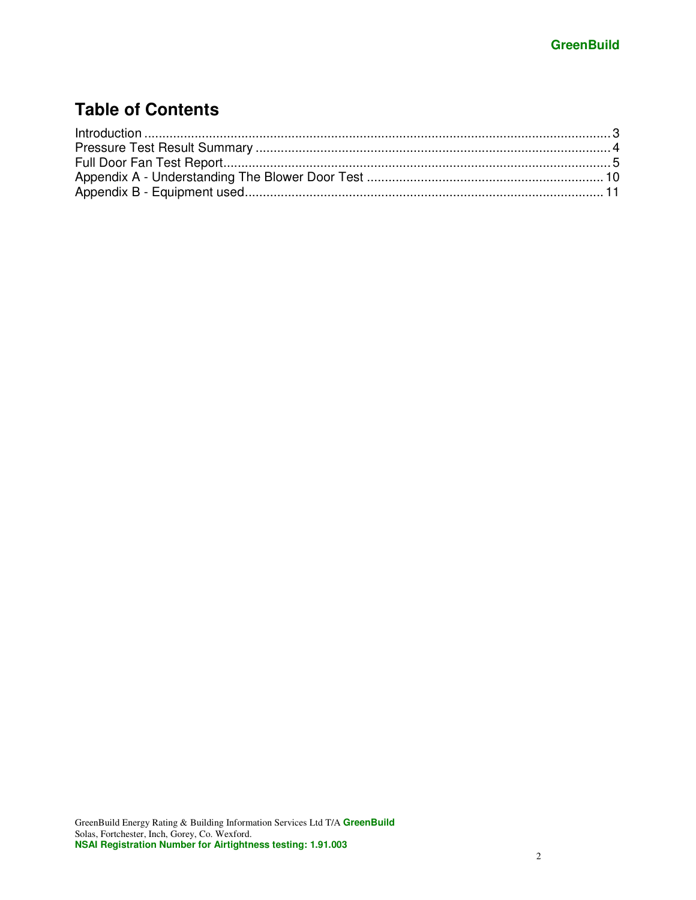# **Table of Contents**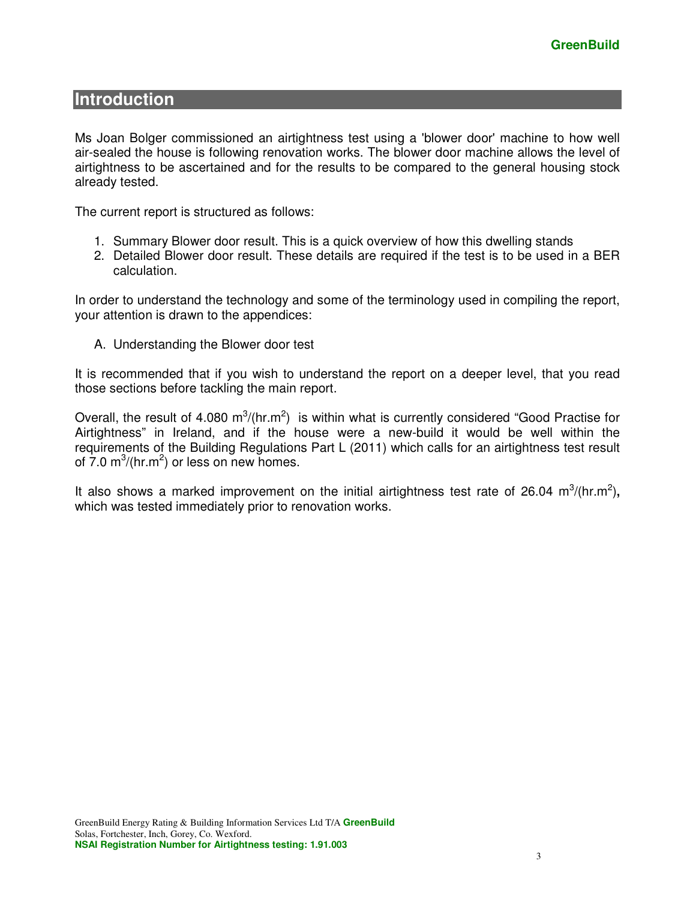### **Introduction**

Ms Joan Bolger commissioned an airtightness test using a 'blower door' machine to how well air-sealed the house is following renovation works. The blower door machine allows the level of airtightness to be ascertained and for the results to be compared to the general housing stock already tested.

The current report is structured as follows:

- 1. Summary Blower door result. This is a quick overview of how this dwelling stands
- 2. Detailed Blower door result. These details are required if the test is to be used in a BER calculation.

In order to understand the technology and some of the terminology used in compiling the report, your attention is drawn to the appendices:

A. Understanding the Blower door test

It is recommended that if you wish to understand the report on a deeper level, that you read those sections before tackling the main report.

Overall, the result of 4.080  $m^3/(hr.m^2)$  is within what is currently considered "Good Practise for Airtightness" in Ireland, and if the house were a new-build it would be well within the requirements of the Building Regulations Part L (2011) which calls for an airtightness test result of  $7.0 \text{ m}^3/\text{(hr.m}^2)$  or less on new homes.

It also shows a marked improvement on the initial airtightness test rate of 26.04  $m^3/(hr.m^2)$ , which was tested immediately prior to renovation works.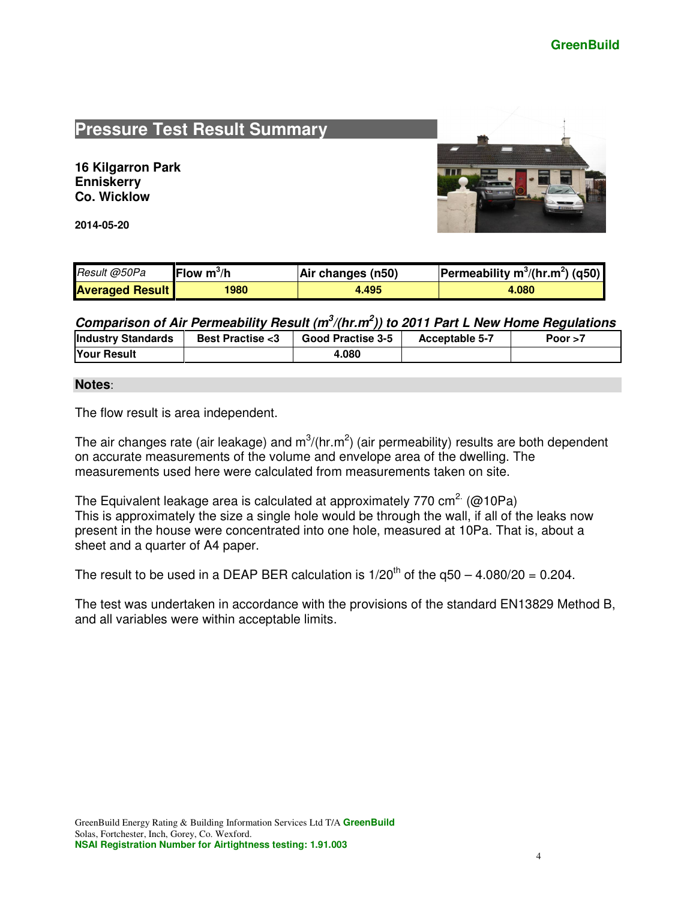# **Pressure Test Result Summary**

**16 Kilgarron Park Enniskerry Co. Wicklow** 

**2014-05-20** 



| Result @50Pa           | Flow $m^3/h$ | Air changes (n50) | <b>Permeability m<sup>3</sup>/(hr.m<sup>2</sup>) (q50)</b> |
|------------------------|--------------|-------------------|------------------------------------------------------------|
| <b>Averaged Result</b> | 1980         | 4.495             | 4.080                                                      |

**Comparison of Air Permeability Result (m<sup>3</sup> /(hr.m<sup>2</sup> )) to 2011 Part L New Home Regulations** 

| <b>Industry Standards</b> | <b>Best Practise &lt;3</b> | Good Practise 3-5 | <b>Acceptable 5-7</b> | Poor $>7$ |
|---------------------------|----------------------------|-------------------|-----------------------|-----------|
| <b>Your Result</b>        |                            | 4.080             |                       |           |

#### **Notes**:

The flow result is area independent.

The air changes rate (air leakage) and  $m^3/(hr.m^2)$  (air permeability) results are both dependent on accurate measurements of the volume and envelope area of the dwelling. The measurements used here were calculated from measurements taken on site.

The Equivalent leakage area is calculated at approximately 770 cm<sup>2.</sup> ( $\omega$ 10Pa) This is approximately the size a single hole would be through the wall, if all of the leaks now present in the house were concentrated into one hole, measured at 10Pa. That is, about a sheet and a quarter of A4 paper.

The result to be used in a DEAP BER calculation is  $1/20^{th}$  of the  $q50 - 4.080/20 = 0.204$ .

The test was undertaken in accordance with the provisions of the standard EN13829 Method B, and all variables were within acceptable limits.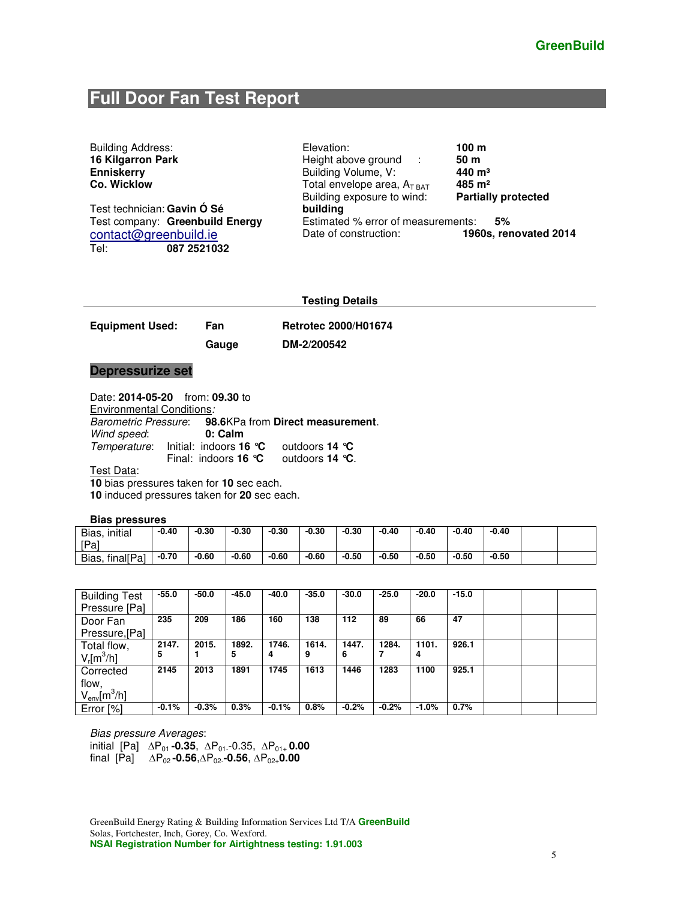# **Full Door Fan Test Report**

| <b>Building Address:</b>        | Elevation:                         | 100 <sub>m</sub>           |
|---------------------------------|------------------------------------|----------------------------|
| 16 Kilgarron Park               | Height above ground :              | 50 <sub>m</sub>            |
| <b>Enniskerry</b>               | Building Volume, V:                | $440 \; \mathrm{m}^3$      |
| Co. Wicklow                     | Total envelope area, $A_{T BAT}$   | $485 \; \mathrm{m}^2$      |
|                                 | Building exposure to wind:         | <b>Partially protected</b> |
| Test technician: Gavin Ó Sé     | building                           |                            |
| Test company: Greenbuild Energy | Estimated % error of measurements: | 5%                         |
| contact@greenbuild.ie           | Date of construction:              | 1960s, renovated 2014      |
| Tel:<br>087 2521032             |                                    |                            |

Equipment Used: Fan Retrotec 2000/H01674

 **Gauge DM-2/200542** 

#### **Depressurize set**

Date: **2014-05-20** from: **09.30** to

Environmental Conditions:<br>Barometric Pressure: 98 98.6KPa from Direct measurement.<br>0: Calm Wind speed: Temperature: Initial: indoors **16 °C** outdoors **14 °C** Final: indoors **16 °C** outdoors **14 °C**.

Test Data:

**10** bias pressures taken for **10** sec each.

**10** induced pressures taken for **20** sec each.

#### **Bias pressures**

| initial<br>Bias,   | $-0.40$ | $-0.30$ | $-0.30$ | $-0.30$ | $-0.30$ | $-0.30$ | $-0.40$ | $-0.40$ | $-0.40$ | $-0.40$ |  |
|--------------------|---------|---------|---------|---------|---------|---------|---------|---------|---------|---------|--|
| [Pa]               |         |         |         |         |         |         |         |         |         |         |  |
| final[Pa]<br>Bias, | $-0.70$ | $-0.60$ | $-0.60$ | $-0.60$ | $-0.60$ | $-0.50$ | $-0.50$ | $-0.50$ | $-0.50$ | $-0.50$ |  |

| <b>Building Test</b>      | $-55.0$ | $-50.0$ | $-45.0$ | $-40.0$ | $-35.0$ | $-30.0$ | $-25.0$ | $-20.0$ | $-15.0$ |  |  |
|---------------------------|---------|---------|---------|---------|---------|---------|---------|---------|---------|--|--|
| Pressure [Pa]             |         |         |         |         |         |         |         |         |         |  |  |
| Door Fan                  | 235     | 209     | 186     | 160     | 138     | 112     | 89      | 66      | 47      |  |  |
| Pressure, [Pa]            |         |         |         |         |         |         |         |         |         |  |  |
| Total flow,               | 2147.   | 2015.   | 1892.   | 1746.   | 1614.   | 1447.   | 1284.   | 1101.   | 926.1   |  |  |
| $V_r$ [m $^3$ /h]         | 5       |         | 5       | 4       | 9       | 6       |         | 4       |         |  |  |
| Corrected                 | 2145    | 2013    | 1891    | 1745    | 1613    | 1446    | 1283    | 1100    | 925.1   |  |  |
| flow,                     |         |         |         |         |         |         |         |         |         |  |  |
| $V_{\sf env}$ [m $^3$ /h] |         |         |         |         |         |         |         |         |         |  |  |
| Error [%]                 | $-0.1%$ | $-0.3%$ | 0.3%    | $-0.1%$ | 0.8%    | $-0.2%$ | $-0.2%$ | $-1.0%$ | 0.7%    |  |  |

Bias pressure Averages:

initial [Pa] ∆P01 **-0.35**, ∆P01--0.35, ∆P01+ **0.00**  final [Pa] ∆P02 **-0.56**,∆P02-**-0.56**, ∆P02+**0.00**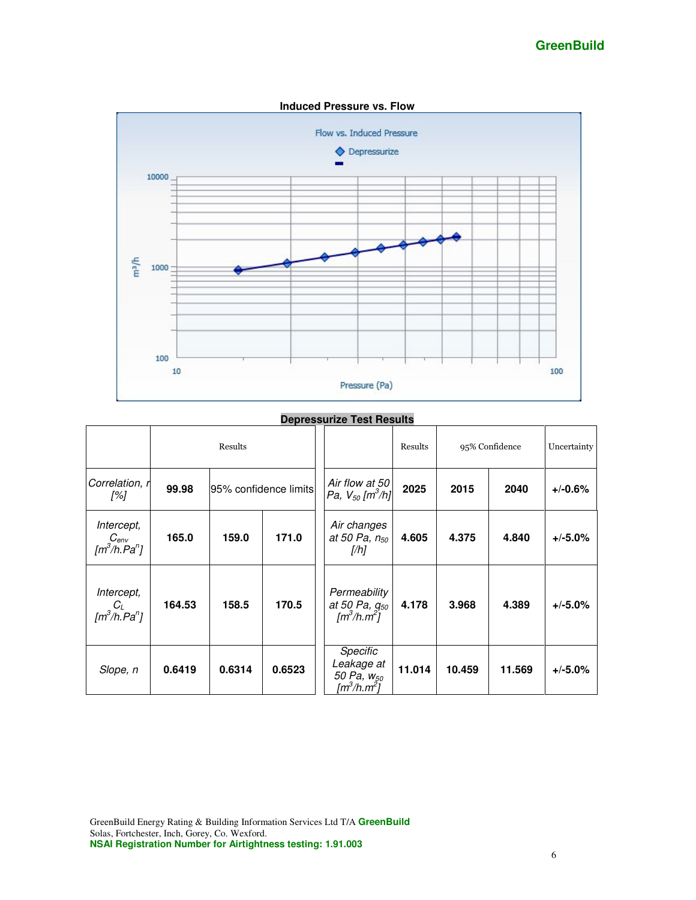

#### **Depressurize Test Results**

|                                                              |        | Results               |        |                                                                                  | Results | 95% Confidence                                     | Uncertainty |           |      |           |
|--------------------------------------------------------------|--------|-----------------------|--------|----------------------------------------------------------------------------------|---------|----------------------------------------------------|-------------|-----------|------|-----------|
| Correlation, r<br>[%]                                        | 99.98  | 95% confidence limits |        |                                                                                  |         | Air flow at 50<br>Pa, $V_{50}$ [m <sup>3</sup> /h] | 2025        | 2015      | 2040 | $+/-0.6%$ |
| Intercept,<br>$C_{env}$ [m <sup>3</sup> /h.Pa <sup>n</sup> ] | 165.0  | 159.0                 | 171.0  | Air changes<br>at 50 Pa, $n_{50}$<br>[/h]                                        | 4.605   | 4.375                                              | 4.840       | $+/-5.0%$ |      |           |
| Intercept,<br>$C_L$ [m <sup>3</sup> /h.Pa <sup>n</sup> ]     | 164.53 | 158.5                 | 170.5  | Permeability<br>at 50 Pa, g <sub>50</sub><br>$\left[\frac{m^3}{h}\right]\right]$ | 4.178   | 3.968                                              | 4.389       | $+/-5.0%$ |      |           |
| Slope, n                                                     | 0.6419 | 0.6314                | 0.6523 | Specific<br>Leakage at<br>50 Pa, w <sub>50</sub><br>[m $^3$ /h.m $^2$ ]          | 11.014  | 10.459                                             | 11.569      | $+/-5.0%$ |      |           |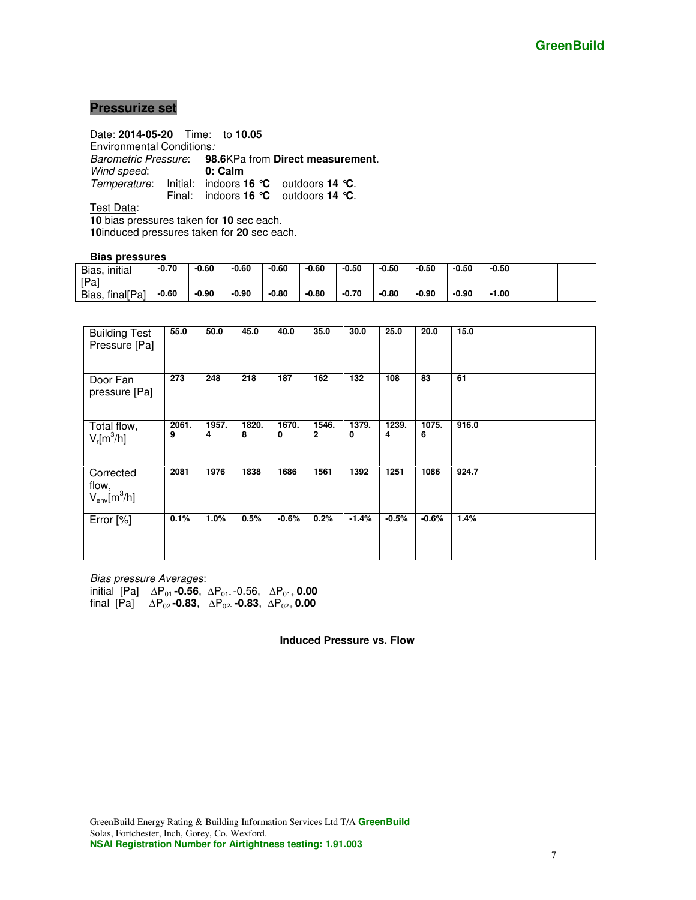#### **Pressurize set**

Date: **2014-05-20** Time: to **10.05**  Environmental Conditions: Barometric Pressure: **98.6**KPa from **Direct measurement**. Wind speed: Temperature: Initial: indoors **16 °C** outdoors **14 °C**. Final: indoors **16 °C** outdoors **14 °C**.

Test Data:

**10** bias pressures taken for **10** sec each.

**10**induced pressures taken for **20** sec each.

#### **Bias pressures**

| initial<br>Bias,   | $-0.70$ | $-0.60$ | $-0.60$ | $-0.60$ | $-0.60$ | $-0.50$ | $-0.50$ | $-0.50$ | $-0.50$ | $-0.50$ |  |
|--------------------|---------|---------|---------|---------|---------|---------|---------|---------|---------|---------|--|
| [Pa]               |         |         |         |         |         |         |         |         |         |         |  |
| final[Pa]<br>Bias, | $-0.60$ | $-0.90$ | $-0.90$ | $-0.80$ | $-0.80$ | $-0.70$ | $-0.80$ | $-0.90$ | $-0.90$ | $-1.00$ |  |

| <b>Building Test</b><br>Pressure [Pa]  | 55.0       | 50.0       | 45.0       | 40.0       | 35.0       | 30.0       | 25.0       | 20.0       | 15.0  |  |  |
|----------------------------------------|------------|------------|------------|------------|------------|------------|------------|------------|-------|--|--|
| Door Fan<br>pressure [Pa]              | 273        | 248        | 218        | 187        | 162        | 132        | 108        | 83         | 61    |  |  |
| Total flow,<br>$V_r[m^3/h]$            | 2061.<br>9 | 1957.<br>4 | 1820.<br>8 | 1670.<br>0 | 1546.<br>2 | 1379.<br>0 | 1239.<br>4 | 1075.<br>6 | 916.0 |  |  |
| Corrected<br>flow,<br>$V_{env}[m^3/h]$ | 2081       | 1976       | 1838       | 1686       | 1561       | 1392       | 1251       | 1086       | 924.7 |  |  |
| Error [%]                              | 0.1%       | 1.0%       | 0.5%       | $-0.6%$    | 0.2%       | $-1.4%$    | $-0.5%$    | $-0.6%$    | 1.4%  |  |  |

Bias pressure Averages: initial [Pa] ∆P01 **-0.56**, ∆P01- -0.56, ∆P01+ **0.00**  final [Pa] ∆P02 **-0.83**, ∆P02- **-0.83**, ∆P02+ **0.00** 

**Induced Pressure vs. Flow**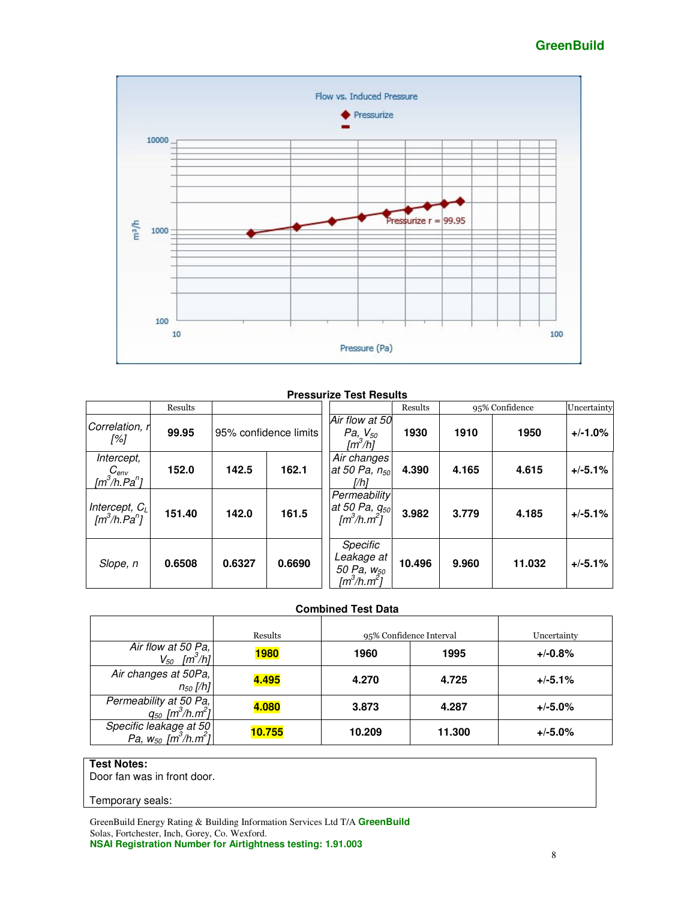#### **GreenBuild**



#### **Pressurize Test Results**

|                                                                        | Results |        |                       |                                                                         | Results |       | 95% Confidence | Uncertainty |
|------------------------------------------------------------------------|---------|--------|-----------------------|-------------------------------------------------------------------------|---------|-------|----------------|-------------|
| Correlation, r<br>[%]                                                  | 99.95   |        | 95% confidence limits | Air flow at 50<br><i>Pa</i> , $V_{50}$<br>[m <sup>3</sup> /h]           | 1930    | 1910  | 1950           | $+/-1.0%$   |
| Intercept,<br>C <sub>env</sub><br>[m <sup>3</sup> /h.Pa <sup>n</sup> ] | 152.0   | 142.5  | 162.1                 | Air changes<br>at 50 Pa, $n_{50}$<br>[/h]                               | 4.390   | 4.165 | 4.615          | $+/-5.1%$   |
| Intercept, $C_L$<br>$\left[\frac{m^3}{h}$ . Pa <sup>n</sup> $\right]$  | 151.40  | 142.0  | 161.5                 | Permeability<br>at 50 Pa, $q_{50}$<br>$[m^3/h.m^2]$                     | 3.982   | 3.779 | 4.185          | $+/-5.1%$   |
| Slope, n                                                               | 0.6508  | 0.6327 | 0.6690                | Specific<br>Leakage at<br>50 Pa, w <sub>50</sub><br>[m $^3$ /h.m $^2$ ] | 10.496  | 9.960 | 11.032         | $+/-5.1%$   |

#### **Combined Test Data**

|                                                      | Results     |        | 95% Confidence Interval | Uncertainty |
|------------------------------------------------------|-------------|--------|-------------------------|-------------|
| Air flow at 50 Pa,<br>$V_{50}$ [m <sup>3</sup> /h]   | <b>1980</b> | 1960   | 1995                    | $+/-0.8%$   |
| Air changes at 50Pa,<br>$n_{50}$ [/h]                | 4.495       | 4.270  | 4.725                   | $+/-5.1%$   |
| Permeability at 50 Pa,<br>$q_{50}$ $[m^3/h.m^2]$     | 4.080       | 3.873  | 4.287                   | $+/-5.0%$   |
| Specific leakage at 50<br>Pa, $w_{50}$ $[m^3/h.m^2]$ | 10.755      | 10.209 | 11.300                  | $+/-5.0%$   |

#### **Test Notes:**

Door fan was in front door.

#### Temporary seals: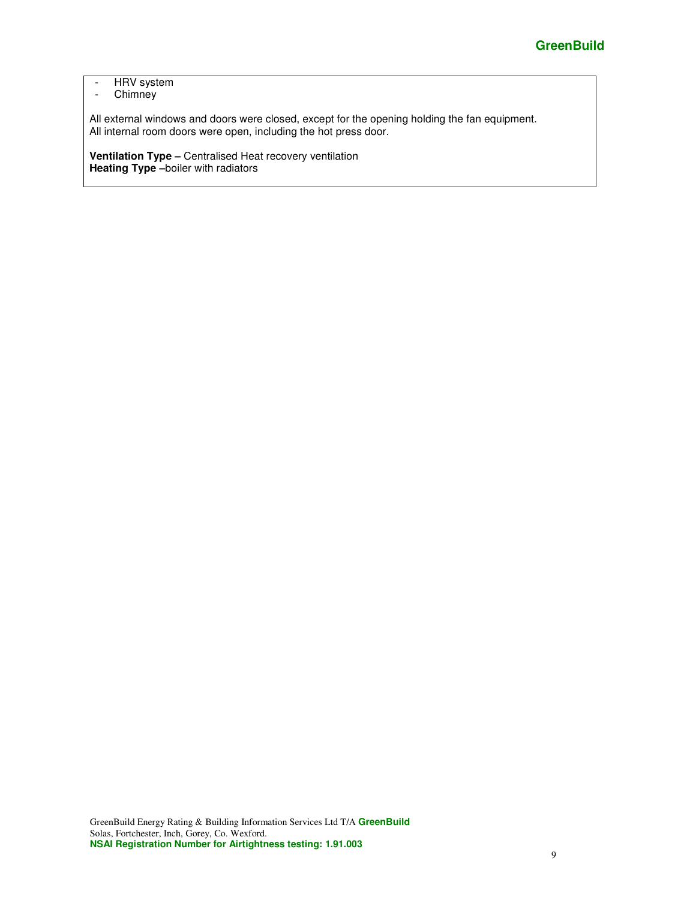#### - HRV system - Chimney

All external windows and doors were closed, except for the opening holding the fan equipment. All internal room doors were open, including the hot press door.

**Ventilation Type –** Centralised Heat recovery ventilation **Heating Type –**boiler with radiators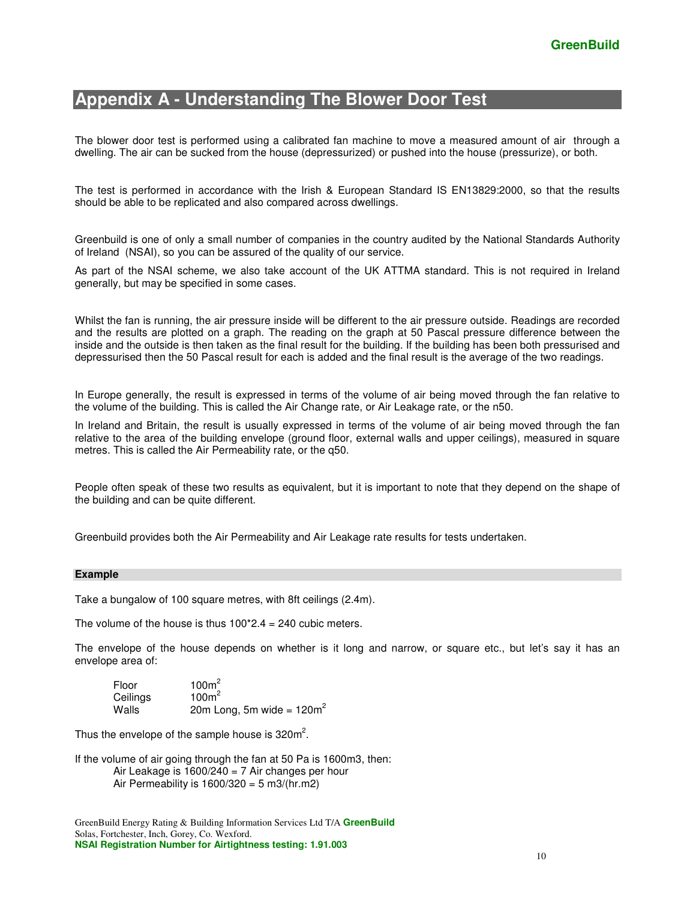## **Appendix A - Understanding The Blower Door Test**

The blower door test is performed using a calibrated fan machine to move a measured amount of air through a dwelling. The air can be sucked from the house (depressurized) or pushed into the house (pressurize), or both.

The test is performed in accordance with the Irish & European Standard IS EN13829:2000, so that the results should be able to be replicated and also compared across dwellings.

Greenbuild is one of only a small number of companies in the country audited by the National Standards Authority of Ireland (NSAI), so you can be assured of the quality of our service.

As part of the NSAI scheme, we also take account of the UK ATTMA standard. This is not required in Ireland generally, but may be specified in some cases.

Whilst the fan is running, the air pressure inside will be different to the air pressure outside. Readings are recorded and the results are plotted on a graph. The reading on the graph at 50 Pascal pressure difference between the inside and the outside is then taken as the final result for the building. If the building has been both pressurised and depressurised then the 50 Pascal result for each is added and the final result is the average of the two readings.

In Europe generally, the result is expressed in terms of the volume of air being moved through the fan relative to the volume of the building. This is called the Air Change rate, or Air Leakage rate, or the n50.

In Ireland and Britain, the result is usually expressed in terms of the volume of air being moved through the fan relative to the area of the building envelope (ground floor, external walls and upper ceilings), measured in square metres. This is called the Air Permeability rate, or the q50.

People often speak of these two results as equivalent, but it is important to note that they depend on the shape of the building and can be quite different.

Greenbuild provides both the Air Permeability and Air Leakage rate results for tests undertaken.

#### **Example**

Take a bungalow of 100 square metres, with 8ft ceilings (2.4m).

The volume of the house is thus  $100<sup>*</sup>2.4 = 240$  cubic meters.

The envelope of the house depends on whether is it long and narrow, or square etc., but let's say it has an envelope area of:

Floor 100m<sup>2</sup><br>Ceilings 100m<sup>2</sup> Ceilings Walls 20m Long, 5m wide =  $120m^2$ 

Thus the envelope of the sample house is  $320m^2$ .

If the volume of air going through the fan at 50 Pa is 1600m3, then: Air Leakage is  $1600/240 = 7$  Air changes per hour Air Permeability is  $1600/320 = 5$  m3/(hr.m2)